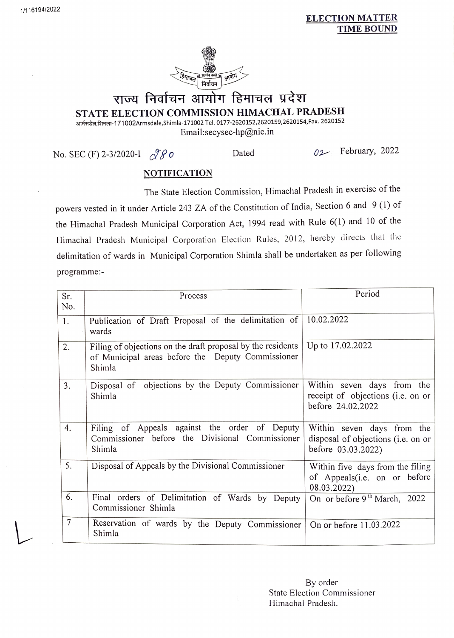## ELECTION MATTER TIME BOUND



## राज्य निर्वाचन आयोग हिमाचल प्रदेश STATE ELECTION COMMISSION HIMACHAL PRADESH

आर्मसडेल,शिमला-171002Armsdale,Shimla-171002 Tel. 0177-2620152,2620159,2620154, Fax. 2620152 Email:secysec-hp@nic.in

No. SEC (F) 2-3/2020-I  $\sqrt{\mathcal{L}}\mathcal{O}$  Dated  $\mathcal{O}2$  February, 2022

## **NOTIFICATION**

The State Election Commission, Himachal Pradesh in exercise of the powers vested in it under Article 243 ZA of the Constitution of India, Section 6 and 9 (1) of the Himachal Pradesh Municipal Corporation Act, 1994 read with Rule 6(1) and 10 of the Himachal Pradesh Municipal Corporation Election Rules, 2012, hereby directs that the delimitation of wards in Municipal Corporation Shimla shall be undertaken as per following programme:

| Sr.<br>No. | Process                                                                                                                    | Period                                                                                 |
|------------|----------------------------------------------------------------------------------------------------------------------------|----------------------------------------------------------------------------------------|
| 1.         | Publication of Draft Proposal of the delimitation of<br>wards                                                              | 10.02.2022                                                                             |
| 2.         | Filing of objections on the draft proposal by the residents<br>of Municipal areas before the Deputy Commissioner<br>Shimla | Up to 17.02.2022                                                                       |
| 3.         | Disposal of objections by the Deputy Commissioner<br>Shimla                                                                | Within seven days from the<br>receipt of objections (i.e. on or<br>before 24.02.2022   |
| 4.         | Filing of Appeals against the order of Deputy<br>Commissioner before the Divisional Commissioner<br>Shimla                 | Within seven days from the<br>disposal of objections (i.e. on or<br>before 03.03.2022) |
| 5.         | Disposal of Appeals by the Divisional Commissioner                                                                         | Within five days from the filing<br>of Appeals(i.e. on or before<br>08.03.2022)        |
| 6.         | Final orders of Delimitation of Wards by Deputy<br>Commissioner Shimla                                                     | On or before 9 <sup>th</sup> March, 2022                                               |
| $\tau$     | Reservation of wards by the Deputy Commissioner<br>Shimla                                                                  | On or before 11.03.2022                                                                |